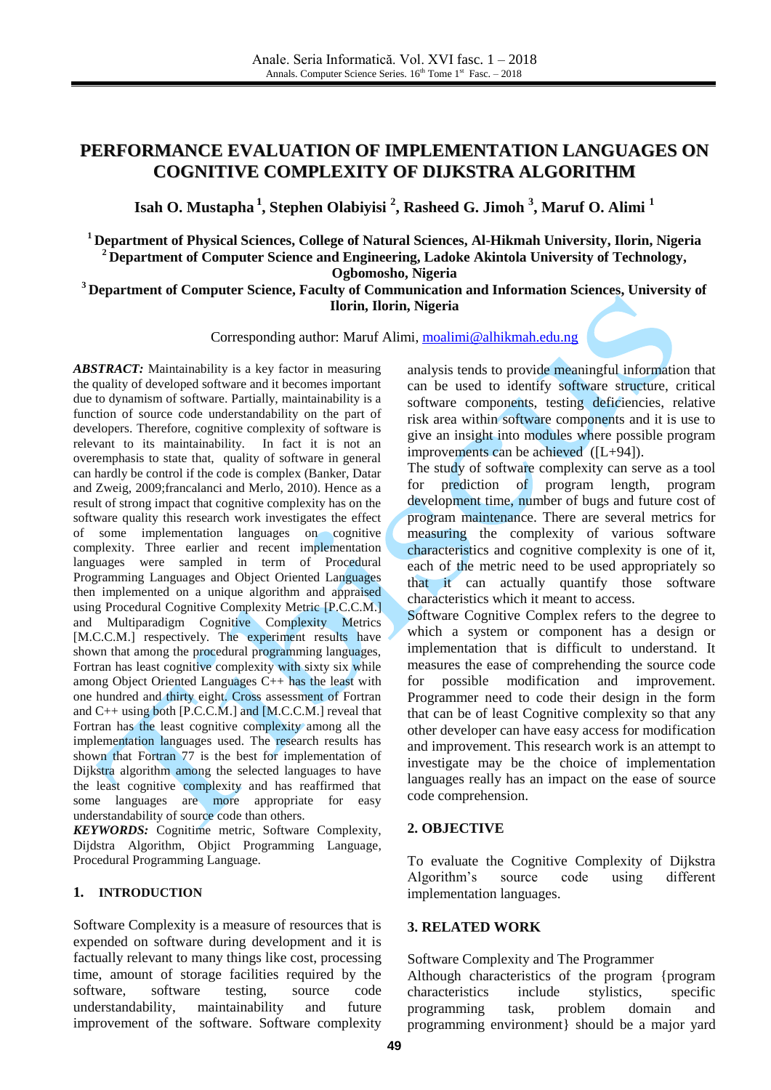# **PERFORMANCE EVALUATION OF IMPLEMENTATION LANGUAGES ON COGNITIVE COMPLEXITY OF DIJKSTRA ALGORITHM**

**Isah O. Mustapha <sup>1</sup> , Stephen Olabiyisi <sup>2</sup> , Rasheed G. Jimoh <sup>3</sup> , Maruf O. Alimi <sup>1</sup>**

**<sup>1</sup> Department of Physical Sciences, College of Natural Sciences, Al-Hikmah University, Ilorin, Nigeria <sup>2</sup> Department of Computer Science and Engineering, Ladoke Akintola University of Technology, Ogbomosho, Nigeria**

#### **<sup>3</sup> Department of Computer Science, Faculty of Communication and Information Sciences, University of Ilorin, Ilorin, Nigeria**

Corresponding author: Maruf Alimi, [moalimi@alhikmah.edu.ng](mailto:moalimi@alhikmah.edu.ng)

*ABSTRACT:* Maintainability is a key factor in measuring the quality of developed software and it becomes important due to dynamism of software. Partially, maintainability is a function of source code understandability on the part of developers. Therefore, cognitive complexity of software is relevant to its maintainability. In fact it is not an overemphasis to state that, quality of software in general can hardly be control if the code is complex (Banker, Datar and Zweig, 2009;francalanci and Merlo, 2010). Hence as a result of strong impact that cognitive complexity has on the software quality this research work investigates the effect of some implementation languages on cognitive complexity. Three earlier and recent implementation languages were sampled in term of Procedural Programming Languages and Object Oriented Languages then implemented on a unique algorithm and appraised using Procedural Cognitive Complexity Metric [P.C.C.M.] and Multiparadigm Cognitive Complexity Metrics [M.C.C.M.] respectively. The experiment results have shown that among the procedural programming languages, Fortran has least cognitive complexity with sixty six while among Object Oriented Languages C++ has the least with one hundred and thirty eight. Cross assessment of Fortran and C++ using both [P.C.C.M.] and [M.C.C.M.] reveal that Fortran has the least cognitive complexity among all the implementation languages used. The research results has shown that Fortran 77 is the best for implementation of Dijkstra algorithm among the selected languages to have the least cognitive complexity and has reaffirmed that some languages are more appropriate for easy understandability of source code than others.

*KEYWORDS:* Cognitime metric, Software Complexity, Dijdstra Algorithm, Objict Programming Language, Procedural Programming Language.

#### **1. INTRODUCTION**

Software Complexity is a measure of resources that is expended on software during development and it is factually relevant to many things like cost, processing time, amount of storage facilities required by the software, software testing, source code understandability, maintainability and future improvement of the software. Software complexity

analysis tends to provide meaningful information that can be used to identify software structure, critical software components, testing deficiencies, relative risk area within software components and it is use to give an insight into modules where possible program improvements can be achieved ([L+94]).

The study of software complexity can serve as a tool for prediction of program length, program development time, number of bugs and future cost of program maintenance. There are several metrics for measuring the complexity of various software characteristics and cognitive complexity is one of it, each of the metric need to be used appropriately so that it can actually quantify those software characteristics which it meant to access.

Software Cognitive Complex refers to the degree to which a system or component has a design or implementation that is difficult to understand. It measures the ease of comprehending the source code for possible modification and improvement. Programmer need to code their design in the form that can be of least Cognitive complexity so that any other developer can have easy access for modification and improvement. This research work is an attempt to investigate may be the choice of implementation languages really has an impact on the ease of source code comprehension.

#### **2. OBJECTIVE**

To evaluate the Cognitive Complexity of Dijkstra Algorithm's source code using different implementation languages.

#### **3. RELATED WORK**

Software Complexity and The Programmer Although characteristics of the program {program characteristics include stylistics, specific programming task, problem domain and programming environment} should be a major yard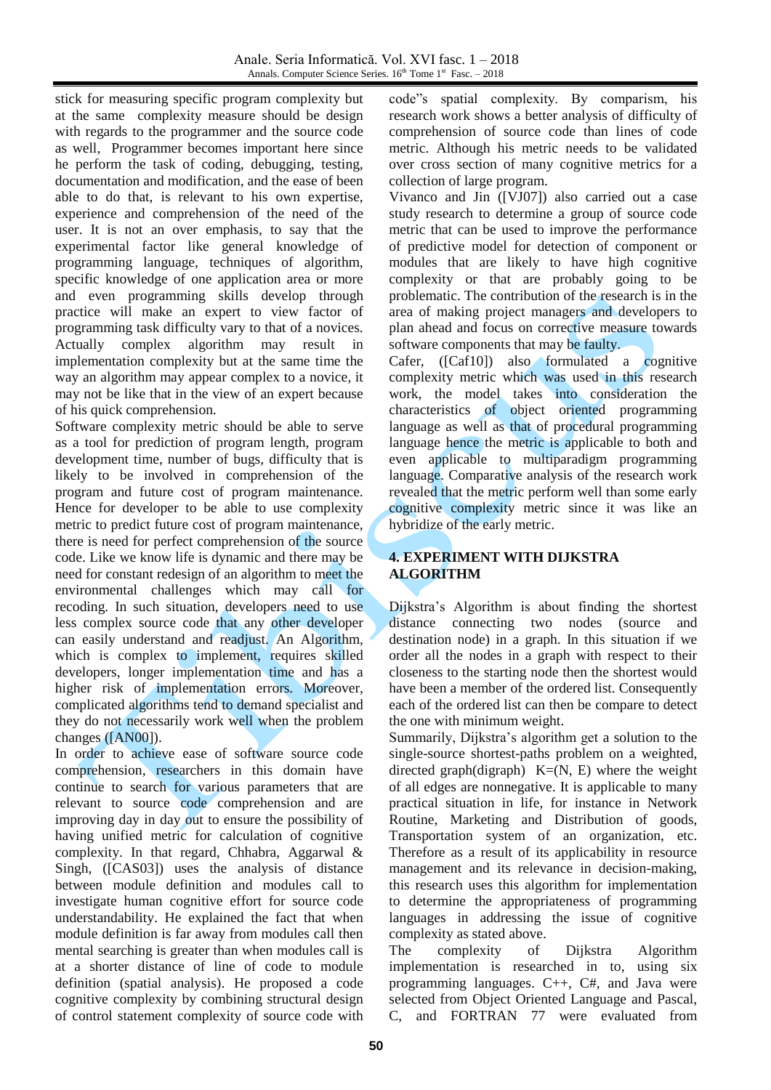stick for measuring specific program complexity but at the same complexity measure should be design with regards to the programmer and the source code as well, Programmer becomes important here since he perform the task of coding, debugging, testing, documentation and modification, and the ease of been able to do that, is relevant to his own expertise, experience and comprehension of the need of the user. It is not an over emphasis, to say that the experimental factor like general knowledge of programming language, techniques of algorithm, specific knowledge of one application area or more and even programming skills develop through practice will make an expert to view factor of programming task difficulty vary to that of a novices. Actually complex algorithm may result in implementation complexity but at the same time the way an algorithm may appear complex to a novice, it may not be like that in the view of an expert because of his quick comprehension.

Software complexity metric should be able to serve as a tool for prediction of program length, program development time, number of bugs, difficulty that is likely to be involved in comprehension of the program and future cost of program maintenance. Hence for developer to be able to use complexity metric to predict future cost of program maintenance, there is need for perfect comprehension of the source code. Like we know life is dynamic and there may be need for constant redesign of an algorithm to meet the environmental challenges which may call for recoding. In such situation, developers need to use less complex source code that any other developer can easily understand and readjust. An Algorithm, which is complex to implement, requires skilled developers, longer implementation time and has a higher risk of implementation errors. Moreover, complicated algorithms tend to demand specialist and they do not necessarily work well when the problem changes ([AN00]).

In order to achieve ease of software source code comprehension, researchers in this domain have continue to search for various parameters that are relevant to source code comprehension and are improving day in day out to ensure the possibility of having unified metric for calculation of cognitive complexity. In that regard, Chhabra, Aggarwal & Singh, ([CAS03]) uses the analysis of distance between module definition and modules call to investigate human cognitive effort for source code understandability. He explained the fact that when module definition is far away from modules call then mental searching is greater than when modules call is at a shorter distance of line of code to module definition (spatial analysis). He proposed a code cognitive complexity by combining structural design of control statement complexity of source code with

code"s spatial complexity. By comparism, his research work shows a better analysis of difficulty of comprehension of source code than lines of code metric. Although his metric needs to be validated over cross section of many cognitive metrics for a collection of large program.

Vivanco and Jin ([VJ07]) also carried out a case study research to determine a group of source code metric that can be used to improve the performance of predictive model for detection of component or modules that are likely to have high cognitive complexity or that are probably going to be problematic. The contribution of the research is in the area of making project managers and developers to plan ahead and focus on corrective measure towards software components that may be faulty.

Cafer, ([Caf10]) also formulated a cognitive complexity metric which was used in this research work, the model takes into consideration the characteristics of object oriented programming language as well as that of procedural programming language hence the metric is applicable to both and even applicable to multiparadigm programming language. Comparative analysis of the research work revealed that the metric perform well than some early cognitive complexity metric since it was like an hybridize of the early metric.

### **4. EXPERIMENT WITH DIJKSTRA ALGORITHM**

Dijkstra's Algorithm is about finding the shortest distance connecting two nodes (source and destination node) in a graph. In this situation if we order all the nodes in a graph with respect to their closeness to the starting node then the shortest would have been a member of the ordered list. Consequently each of the ordered list can then be compare to detect the one with minimum weight.

Summarily, Dijkstra's algorithm get a solution to the single-source shortest-paths problem on a weighted, directed graph(digraph)  $K=(N, E)$  where the weight of all edges are nonnegative. It is applicable to many practical situation in life, for instance in Network Routine, Marketing and Distribution of goods, Transportation system of an organization, etc. Therefore as a result of its applicability in resource management and its relevance in decision-making, this research uses this algorithm for implementation to determine the appropriateness of programming languages in addressing the issue of cognitive complexity as stated above.

The complexity of Dijkstra Algorithm implementation is researched in to, using six programming languages. C++, C#, and Java were selected from Object Oriented Language and Pascal, C, and FORTRAN 77 were evaluated from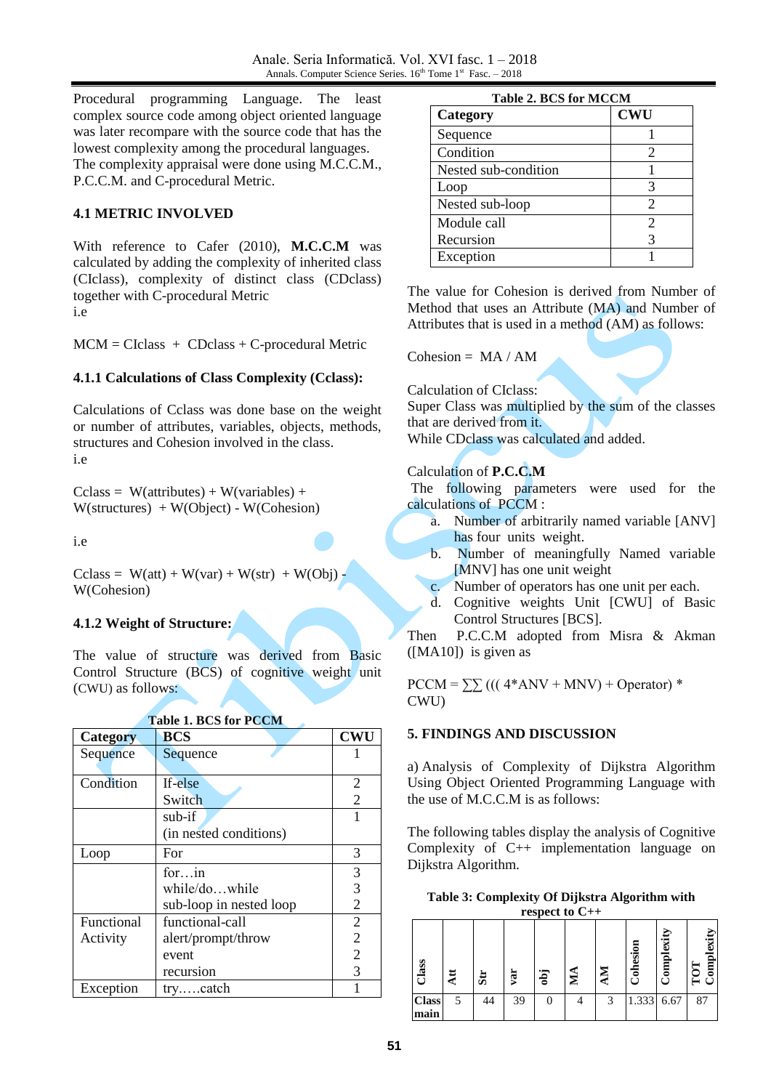Procedural programming Language. The least complex source code among object oriented language was later recompare with the source code that has the lowest complexity among the procedural languages. The complexity appraisal were done using M.C.C.M., P.C.C.M. and C-procedural Metric.

### **4.1 METRIC INVOLVED**

With reference to Cafer (2010), **M.C.C.M** was calculated by adding the complexity of inherited class (CIclass), complexity of distinct class (CDclass) together with C-procedural Metric i.e

 $MCM = Clclass + CDclass + C-procedural Metric$ 

### **4.1.1 Calculations of Class Complexity (Cclass):**

Calculations of Cclass was done base on the weight or number of attributes, variables, objects, methods, structures and Cohesion involved in the class. i.e

 $Cclass = W(atributes) + W(variables) +$ W(structures) + W(Object) - W(Cohesion)

i.e

Cclass =  $W(at) + W(var) + W(str) + W(Obj)$ W(Cohesion)

### **4.1.2 Weight of Structure:**

The value of structure was derived from Basic Control Structure (BCS) of cognitive weight unit (CWU) as follows:

| <b>Category</b> | <b>BCS</b>              | <b>CWU</b>     |
|-----------------|-------------------------|----------------|
| Sequence        | Sequence                |                |
|                 |                         |                |
| Condition       | If-else                 | 2              |
|                 | Switch                  | $\overline{2}$ |
|                 | sub-if                  |                |
|                 | (in nested conditions)  |                |
| Loop            | For                     | 3              |
|                 | forin                   | 3              |
|                 | while/dowhile           | 3              |
|                 | sub-loop in nested loop | $\overline{2}$ |
| Functional      | functional-call         | $\overline{2}$ |
| Activity        | alert/prompt/throw      | $\overline{2}$ |
|                 | event                   | $\overline{2}$ |
|                 | recursion               | 3              |
| Exception       | trycatch                |                |

| <b>Table 2. BCS for MCCM</b> |                       |  |  |  |
|------------------------------|-----------------------|--|--|--|
| Category                     | <b>CWU</b>            |  |  |  |
| Sequence                     |                       |  |  |  |
| Condition                    | $\mathcal{D}_{\cdot}$ |  |  |  |
| Nested sub-condition         |                       |  |  |  |
| Loop                         |                       |  |  |  |
| Nested sub-loop              | 2                     |  |  |  |
| Module call                  |                       |  |  |  |
| Recursion                    |                       |  |  |  |
| Exception                    |                       |  |  |  |

The value for Cohesion is derived from Number of Method that uses an Attribute (MA) and Number of Attributes that is used in a method (AM) as follows:

Cohesion =  $MA / AM$ 

Calculation of CIclass:

Super Class was multiplied by the sum of the classes that are derived from it. While CDclass was calculated and added.

### Calculation of **P.C.C.M**

The following parameters were used for the calculations of PCCM :

- a. Number of arbitrarily named variable [ANV] has four units weight.
- b. Number of meaningfully Named variable [MNV] has one unit weight
- c. Number of operators has one unit per each.
- d. Cognitive weights Unit [CWU] of Basic Control Structures [BCS].

Then P.C.C.M adopted from Misra & Akman ([MA10]) is given as

 $PCCM = \sum (((4*ANV + MNV) + Operator)*$ CWU)

### **5. FINDINGS AND DISCUSSION**

a) Analysis of Complexity of Dijkstra Algorithm Using Object Oriented Programming Language with the use of M.C.C.M is as follows:

The following tables display the analysis of Cognitive Complexity of C++ implementation language on Dijkstra Algorithm.



|                      |     |                 |     |            | respect to C++ |   |          |            |                        |
|----------------------|-----|-----------------|-----|------------|----------------|---|----------|------------|------------------------|
| $\frac{2}{1}$ ass    | Att | $5\overline{u}$ | var | <b>igo</b> | $\mathbf{M}$   | ≅ | Cohesion | Complexity | exity<br>$_{\rm{imp}}$ |
| <b>Class</b><br>main | 5   | 44              | 39  |            |                | 3 | 1.333    | 6.67       | 87                     |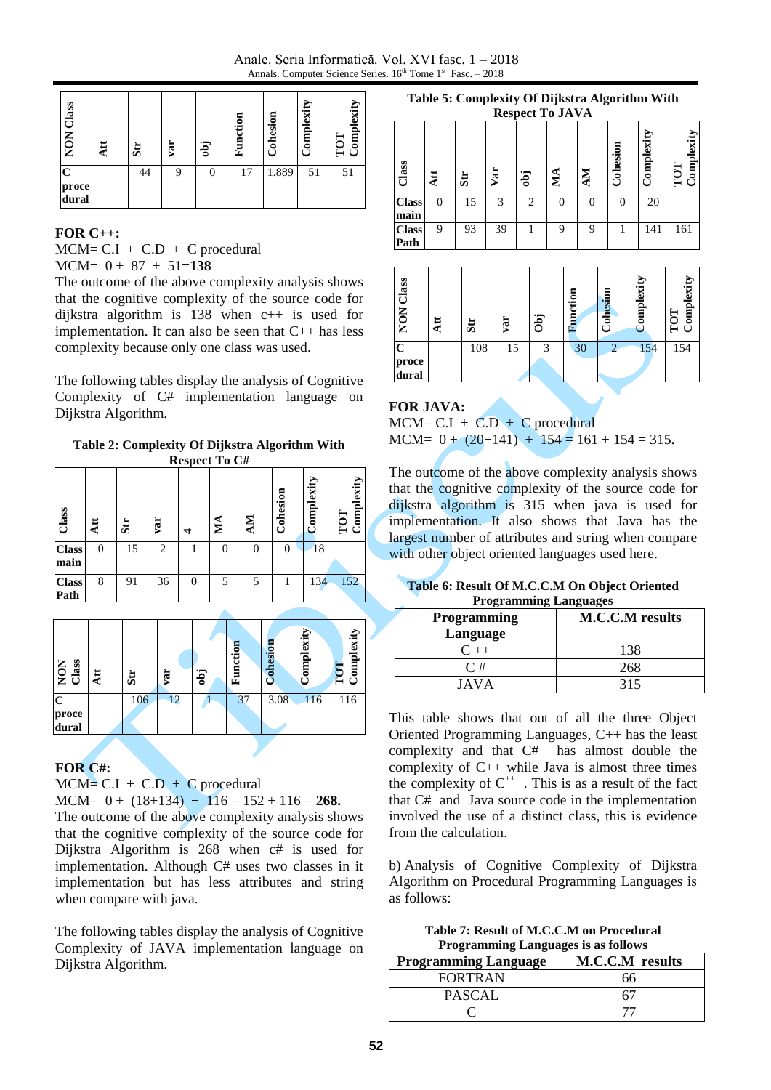Anale. Seria Informatică. Vol. XVI fasc. 1 – 2018 Annals. Computer Science Series.  $16^{th}$  Tome 1<sup>st</sup> Fasc. - 2018

| Class<br>NON                  | ٨tt | $5\overline{u}$ | yar | obj | Function | Cohesion | <b>Complexity</b> | omplexity<br>5 |
|-------------------------------|-----|-----------------|-----|-----|----------|----------|-------------------|----------------|
| $\mathbf C$<br>proce<br>dural |     | 44              | 9   | 0   | 17       | 1.889    | 51                | 51             |

#### **FOR C++:**

 $MCM = C.I + C.D + C$  procedural MCM= 0 + 87 + 51=**138** 

The outcome of the above complexity analysis shows that the cognitive complexity of the source code for dijkstra algorithm is 138 when c++ is used for implementation. It can also be seen that C++ has less complexity because only one class was used.

The following tables display the analysis of Cognitive Complexity of C# implementation language on Dijkstra Algorithm.

**Table 2: Complexity Of Dijkstra Algorithm With Respect To C#**

|                      | $\bf{m}$     |                        |     |          |          |           |          |            |                   |
|----------------------|--------------|------------------------|-----|----------|----------|-----------|----------|------------|-------------------|
| Class                | $\mathbf{H}$ | $\mathbf{S}$ <b>ir</b> | var | ⅎ        | МĄ       | <b>NN</b> | Cohesion | Complexity | Complexity<br>101 |
| <b>Class</b><br>main | $\Omega$     | 15                     | 2   |          | $\Omega$ | $\theta$  | 0        | 18         |                   |
| <b>Class</b><br>Path | 8            | 91                     | 36  | $\Omega$ | 5        | 5         |          | 134        | 152               |



### **FOR C#:**

 $MCM = C.I + C.D + C$  procedural

MCM=  $0 + (18+134) + 116 = 152 + 116 = 268$ .

The outcome of the above complexity analysis shows that the cognitive complexity of the source code for Dijkstra Algorithm is 268 when c# is used for implementation. Although C# uses two classes in it implementation but has less attributes and string when compare with java.

The following tables display the analysis of Cognitive Complexity of JAVA implementation language on Dijkstra Algorithm.

**Table 5: Complexity Of Dijkstra Algorithm With Respect To JAVA**

|                      | AVOPULL TO OIT VIT |                |     |     |                   |    |          |            |                         |
|----------------------|--------------------|----------------|-----|-----|-------------------|----|----------|------------|-------------------------|
| Class                | $\mathbf{A}$ tt    | $\mathbf{s}$ r | Var | obj | $\mathbf{\Sigma}$ | ÅМ | Cohesion | Complexity | omplexity<br>TOT<br>( ۲ |
| <b>Class</b><br>main | $\Omega$           | 15             | 3   | 2   |                   | 0  | 0        | 20         |                         |
| <b>Class</b><br>Path | 9                  | 93             | 39  |     | 9                 | 9  |          | 141        | 161                     |



## **FOR JAVA:**

 $MCM = C.I + C.D + C$  procedural  $MCM= 0 + (20+141) + 154 = 161 + 154 = 315.$ 

The outcome of the above complexity analysis shows that the cognitive complexity of the source code for dijkstra algorithm is 315 when java is used for implementation. It also shows that Java has the largest number of attributes and string when compare with other object oriented languages used here.

| Table 6: Result Of M.C.C.M On Object Oriented |
|-----------------------------------------------|
| <b>Programming Languages</b>                  |

| <b>Programming</b> | <b>M.C.C.M</b> results |
|--------------------|------------------------|
| Language           |                        |
| $C + +$            | 138                    |
| C#                 | 268                    |
| JAVA               | 315                    |

This table shows that out of all the three Object Oriented Programming Languages, C++ has the least complexity and that C# has almost double the complexity of C++ while Java is almost three times the complexity of  $C^{++}$ . This is as a result of the fact that C# and Java source code in the implementation involved the use of a distinct class, this is evidence from the calculation.

b) Analysis of Cognitive Complexity of Dijkstra Algorithm on Procedural Programming Languages is as follows:

**Table 7: Result of M.C.C.M on Procedural Programming Languages is as follows**

|                             | .                      |
|-----------------------------|------------------------|
| <b>Programming Language</b> | <b>M.C.C.M</b> results |
| <b>FORTRAN</b>              | hh                     |
| <b>PASCAL</b>               |                        |
|                             |                        |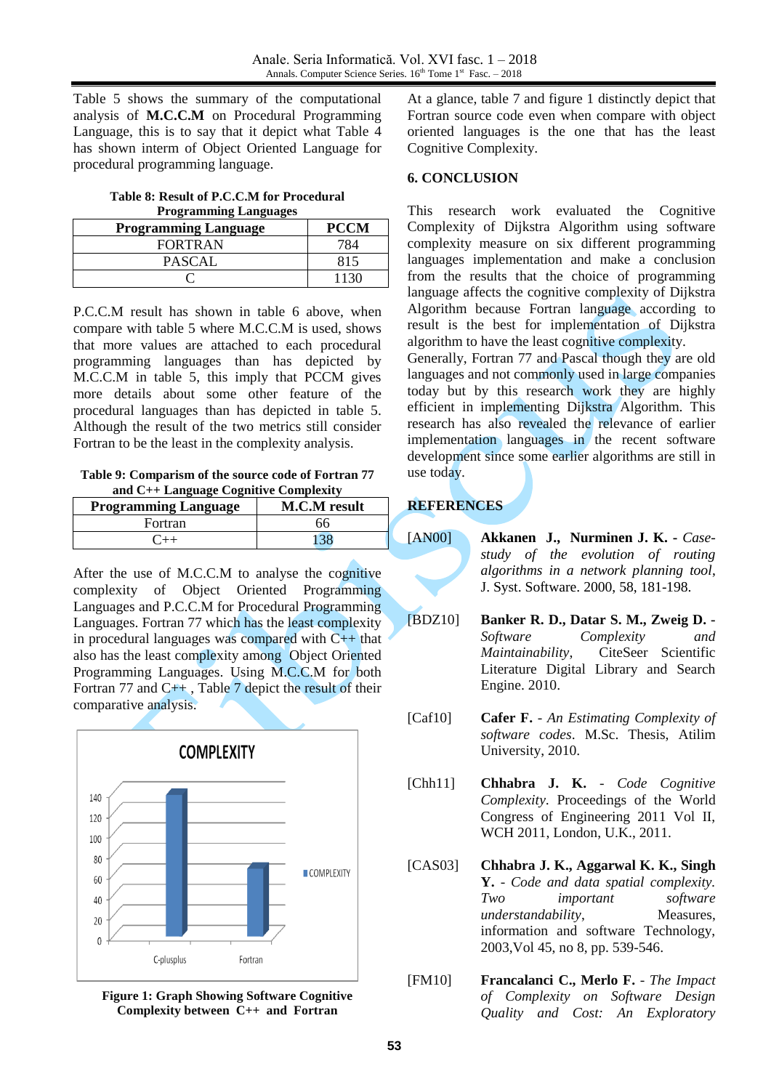Table 5 shows the summary of the computational analysis of **M.C.C.M** on Procedural Programming Language, this is to say that it depict what Table 4 has shown interm of Object Oriented Language for procedural programming language.

**Table 8: Result of P.C.C.M for Procedural Programming Languages**

| <b>Programming Language</b> | <b>PCCM</b> |
|-----------------------------|-------------|
| <b>FORTRAN</b>              |             |
| <b>PASCAL</b>               | 815         |
|                             |             |

P.C.C.M result has shown in table 6 above, when compare with table 5 where M.C.C.M is used, shows that more values are attached to each procedural programming languages than has depicted by M.C.C.M in table 5, this imply that PCCM gives more details about some other feature of the procedural languages than has depicted in table 5. Although the result of the two metrics still consider Fortran to be the least in the complexity analysis.

**Table 9: Comparism of the source code of Fortran 77 and C++ Language Cognitive Complexity**

| <b>Programming Language</b> | <b>M.C.M</b> result |
|-----------------------------|---------------------|
| Fortran                     | 66                  |
|                             |                     |

After the use of M.C.C.M to analyse the cognitive complexity of Object Oriented Programming Languages and P.C.C.M for Procedural Programming Languages. Fortran 77 which has the least complexity in procedural languages was compared with  $C_{++}$  that also has the least complexity among Object Oriented Programming Languages. Using M.C.C.M for both Fortran 77 and C++ , Table 7 depict the result of their comparative analysis.



**Figure 1: Graph Showing Software Cognitive Complexity between C++ and Fortran**

At a glance, table 7 and figure 1 distinctly depict that Fortran source code even when compare with object oriented languages is the one that has the least Cognitive Complexity.

#### **6. CONCLUSION**

This research work evaluated the Cognitive Complexity of Dijkstra Algorithm using software complexity measure on six different programming languages implementation and make a conclusion from the results that the choice of programming language affects the cognitive complexity of Dijkstra Algorithm because Fortran language according to result is the best for implementation of Dijkstra algorithm to have the least cognitive complexity.

Generally, Fortran 77 and Pascal though they are old languages and not commonly used in large companies today but by this research work they are highly efficient in implementing Dijkstra Algorithm. This research has also revealed the relevance of earlier implementation languages in the recent software development since some earlier algorithms are still in use today.

### **REFERENCES**

- [AN00] **Akkanen J., Nurminen J. K. -** *Casestudy of the evolution of routing algorithms in a network planning tool*, J. Syst. Software. 2000, 58, 181-198.
- [BDZ10] **Banker R. D., Datar S. M., Zweig D. -** *Software Complexity and Maintainability*, CiteSeer Scientific Literature Digital Library and Search Engine. 2010.
- [Caf10] **Cafer F.** *An Estimating Complexity of software codes*. M.Sc. Thesis, Atilim University, 2010.
- [Chh11] **Chhabra J. K.** *Code Cognitive Complexity*. Proceedings of the World Congress of Engineering 2011 Vol II, WCH 2011, London, U.K., 2011.
- [CAS03] **Chhabra J. K., Aggarwal K. K., Singh Y.** - *Code and data spatial complexity. Two important software understandability*, Measures, information and software Technology, 2003,Vol 45, no 8, pp. 539-546.
- [FM10] **Francalanci C., Merlo F.** *The Impact of Complexity on Software Design Quality and Cost: An Exploratory*